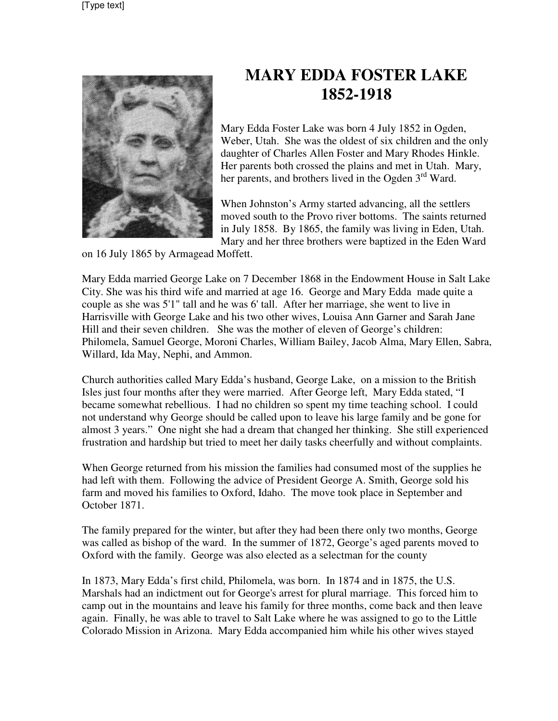

## **MARY EDDA FOSTER LAKE 1852-1918**

Mary Edda Foster Lake was born 4 July 1852 in Ogden, Weber, Utah. She was the oldest of six children and the only daughter of Charles Allen Foster and Mary Rhodes Hinkle. Her parents both crossed the plains and met in Utah. Mary, her parents, and brothers lived in the Ogden  $3<sup>rd</sup>$  Ward.

When Johnston's Army started advancing, all the settlers moved south to the Provo river bottoms. The saints returned in July 1858. By 1865, the family was living in Eden, Utah. Mary and her three brothers were baptized in the Eden Ward

on 16 July 1865 by Armagead Moffett.

Mary Edda married George Lake on 7 December 1868 in the Endowment House in Salt Lake City. She was his third wife and married at age 16. George and Mary Edda made quite a couple as she was 5'1" tall and he was 6' tall. After her marriage, she went to live in Harrisville with George Lake and his two other wives, Louisa Ann Garner and Sarah Jane Hill and their seven children. She was the mother of eleven of George's children: Philomela, Samuel George, Moroni Charles, William Bailey, Jacob Alma, Mary Ellen, Sabra, Willard, Ida May, Nephi, and Ammon.

Church authorities called Mary Edda's husband, George Lake, on a mission to the British Isles just four months after they were married. After George left, Mary Edda stated, "I became somewhat rebellious. I had no children so spent my time teaching school. I could not understand why George should be called upon to leave his large family and be gone for almost 3 years." One night she had a dream that changed her thinking. She still experienced frustration and hardship but tried to meet her daily tasks cheerfully and without complaints.

When George returned from his mission the families had consumed most of the supplies he had left with them. Following the advice of President George A. Smith, George sold his farm and moved his families to Oxford, Idaho. The move took place in September and October 1871.

The family prepared for the winter, but after they had been there only two months, George was called as bishop of the ward. In the summer of 1872, George's aged parents moved to Oxford with the family. George was also elected as a selectman for the county

In 1873, Mary Edda's first child, Philomela, was born. In 1874 and in 1875, the U.S. Marshals had an indictment out for George's arrest for plural marriage. This forced him to camp out in the mountains and leave his family for three months, come back and then leave again. Finally, he was able to travel to Salt Lake where he was assigned to go to the Little Colorado Mission in Arizona. Mary Edda accompanied him while his other wives stayed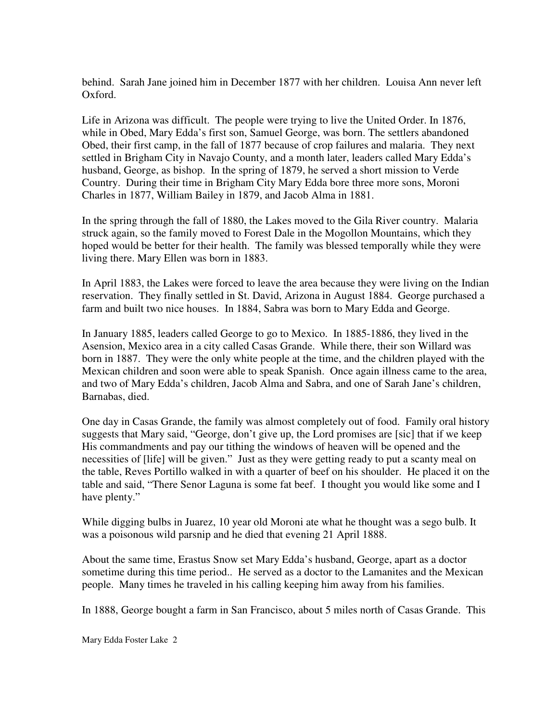behind. Sarah Jane joined him in December 1877 with her children. Louisa Ann never left Oxford.

Life in Arizona was difficult. The people were trying to live the United Order. In 1876, while in Obed, Mary Edda's first son, Samuel George, was born. The settlers abandoned Obed, their first camp, in the fall of 1877 because of crop failures and malaria. They next settled in Brigham City in Navajo County, and a month later, leaders called Mary Edda's husband, George, as bishop. In the spring of 1879, he served a short mission to Verde Country. During their time in Brigham City Mary Edda bore three more sons, Moroni Charles in 1877, William Bailey in 1879, and Jacob Alma in 1881.

In the spring through the fall of 1880, the Lakes moved to the Gila River country. Malaria struck again, so the family moved to Forest Dale in the Mogollon Mountains, which they hoped would be better for their health. The family was blessed temporally while they were living there. Mary Ellen was born in 1883.

In April 1883, the Lakes were forced to leave the area because they were living on the Indian reservation. They finally settled in St. David, Arizona in August 1884. George purchased a farm and built two nice houses. In 1884, Sabra was born to Mary Edda and George.

In January 1885, leaders called George to go to Mexico. In 1885-1886, they lived in the Asension, Mexico area in a city called Casas Grande. While there, their son Willard was born in 1887. They were the only white people at the time, and the children played with the Mexican children and soon were able to speak Spanish. Once again illness came to the area, and two of Mary Edda's children, Jacob Alma and Sabra, and one of Sarah Jane's children, Barnabas, died.

One day in Casas Grande, the family was almost completely out of food. Family oral history suggests that Mary said, "George, don't give up, the Lord promises are [sic] that if we keep His commandments and pay our tithing the windows of heaven will be opened and the necessities of [life] will be given." Just as they were getting ready to put a scanty meal on the table, Reves Portillo walked in with a quarter of beef on his shoulder. He placed it on the table and said, "There Senor Laguna is some fat beef. I thought you would like some and I have plenty."

While digging bulbs in Juarez, 10 year old Moroni ate what he thought was a sego bulb. It was a poisonous wild parsnip and he died that evening 21 April 1888.

About the same time, Erastus Snow set Mary Edda's husband, George, apart as a doctor sometime during this time period.. He served as a doctor to the Lamanites and the Mexican people. Many times he traveled in his calling keeping him away from his families.

In 1888, George bought a farm in San Francisco, about 5 miles north of Casas Grande. This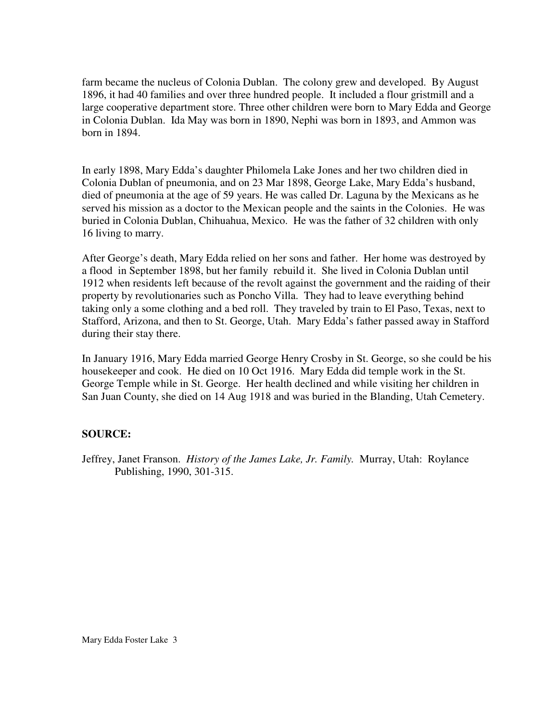farm became the nucleus of Colonia Dublan. The colony grew and developed. By August 1896, it had 40 families and over three hundred people. It included a flour gristmill and a large cooperative department store. Three other children were born to Mary Edda and George in Colonia Dublan. Ida May was born in 1890, Nephi was born in 1893, and Ammon was born in 1894.

In early 1898, Mary Edda's daughter Philomela Lake Jones and her two children died in Colonia Dublan of pneumonia, and on 23 Mar 1898, George Lake, Mary Edda's husband, died of pneumonia at the age of 59 years. He was called Dr. Laguna by the Mexicans as he served his mission as a doctor to the Mexican people and the saints in the Colonies. He was buried in Colonia Dublan, Chihuahua, Mexico. He was the father of 32 children with only 16 living to marry.

After George's death, Mary Edda relied on her sons and father. Her home was destroyed by a flood in September 1898, but her family rebuild it. She lived in Colonia Dublan until 1912 when residents left because of the revolt against the government and the raiding of their property by revolutionaries such as Poncho Villa. They had to leave everything behind taking only a some clothing and a bed roll. They traveled by train to El Paso, Texas, next to Stafford, Arizona, and then to St. George, Utah. Mary Edda's father passed away in Stafford during their stay there.

In January 1916, Mary Edda married George Henry Crosby in St. George, so she could be his housekeeper and cook. He died on 10 Oct 1916. Mary Edda did temple work in the St. George Temple while in St. George. Her health declined and while visiting her children in San Juan County, she died on 14 Aug 1918 and was buried in the Blanding, Utah Cemetery.

## **SOURCE:**

Jeffrey, Janet Franson. *History of the James Lake, Jr. Family.* Murray, Utah: Roylance Publishing, 1990, 301-315.